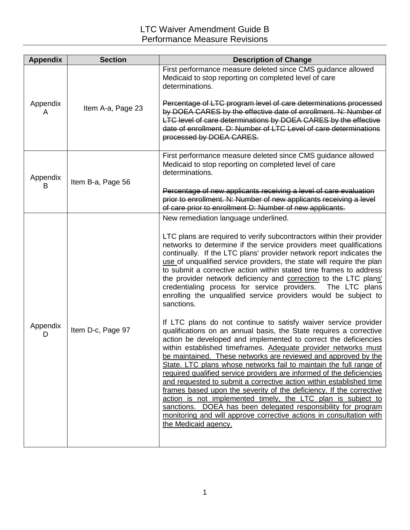| <b>Appendix</b> | <b>Section</b>    | <b>Description of Change</b>                                                                                                                                                                                                                                                                                                                                                                                                                                                                                                                                                                                                                                                                                                                                                                                                                                              |
|-----------------|-------------------|---------------------------------------------------------------------------------------------------------------------------------------------------------------------------------------------------------------------------------------------------------------------------------------------------------------------------------------------------------------------------------------------------------------------------------------------------------------------------------------------------------------------------------------------------------------------------------------------------------------------------------------------------------------------------------------------------------------------------------------------------------------------------------------------------------------------------------------------------------------------------|
| Appendix<br>A   | Item A-a, Page 23 | First performance measure deleted since CMS guidance allowed<br>Medicaid to stop reporting on completed level of care<br>determinations.                                                                                                                                                                                                                                                                                                                                                                                                                                                                                                                                                                                                                                                                                                                                  |
|                 |                   | Percentage of LTC program level of care determinations processed<br>by DOEA CARES by the effective date of enrollment. N: Number of<br>LTC level of care determinations by DOEA CARES by the effective<br>date of enrollment. D: Number of LTC Level of care determinations<br>processed by DOEA CARES.                                                                                                                                                                                                                                                                                                                                                                                                                                                                                                                                                                   |
| Appendix<br>В   | Item B-a, Page 56 | First performance measure deleted since CMS guidance allowed<br>Medicaid to stop reporting on completed level of care<br>determinations.                                                                                                                                                                                                                                                                                                                                                                                                                                                                                                                                                                                                                                                                                                                                  |
|                 |                   | Percentage of new applicants receiving a level of care evaluation<br>prior to enrollment. N: Number of new applicants receiving a level<br>of care prior to enrollment D: Number of new applicants.                                                                                                                                                                                                                                                                                                                                                                                                                                                                                                                                                                                                                                                                       |
|                 | Item D-c, Page 97 | New remediation language underlined.                                                                                                                                                                                                                                                                                                                                                                                                                                                                                                                                                                                                                                                                                                                                                                                                                                      |
| Appendix<br>D   |                   | LTC plans are required to verify subcontractors within their provider<br>networks to determine if the service providers meet qualifications<br>continually. If the LTC plans' provider network report indicates the<br>use of unqualified service providers, the state will require the plan<br>to submit a corrective action within stated time frames to address<br>the provider network deficiency and correction to the LTC plans'<br>credentialing process for service providers.<br>The LTC plans<br>enrolling the unqualified service providers would be subject to<br>sanctions.                                                                                                                                                                                                                                                                                  |
|                 |                   | If LTC plans do not continue to satisfy waiver service provider<br>qualifications on an annual basis, the State requires a corrective<br>action be developed and implemented to correct the deficiencies<br>within established timeframes. Adequate provider networks must<br>be maintained. These networks are reviewed and approved by the<br>State. LTC plans whose networks fail to maintain the full range of<br>required qualified service providers are informed of the deficiencies<br>and requested to submit a corrective action within established time<br>frames based upon the severity of the deficiency. If the corrective<br>action is not implemented timely, the LTC plan is subject to<br>sanctions. DOEA has been delegated responsibility for program<br>monitoring and will approve corrective actions in consultation with<br>the Medicaid agency. |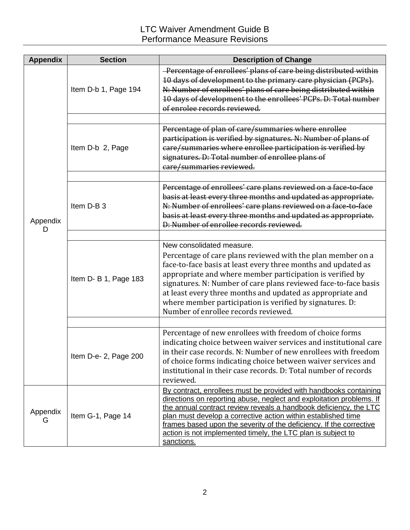| <b>Appendix</b> | <b>Section</b>        | <b>Description of Change</b>                                                                                                                                                                                                                                                                                                                                                                                                                                |
|-----------------|-----------------------|-------------------------------------------------------------------------------------------------------------------------------------------------------------------------------------------------------------------------------------------------------------------------------------------------------------------------------------------------------------------------------------------------------------------------------------------------------------|
| Appendix<br>D   | Item D-b 1, Page 194  | -Percentage of enrollees' plans of care being distributed within<br>10 days of development to the primary care physician (PCPs).<br>N: Number of enrollees' plans of care being distributed within<br>10 days of development to the enrollees' PCPs. D: Total number<br>of enrolee records reviewed.                                                                                                                                                        |
|                 |                       |                                                                                                                                                                                                                                                                                                                                                                                                                                                             |
|                 | Item D-b 2, Page      | Percentage of plan of care/summaries where enrollee<br>participation is verified by signatures. N: Number of plans of<br>care/summaries where enrollee participation is verified by<br>signatures. D: Total number of enrollee plans of<br>care/summaries reviewed.                                                                                                                                                                                         |
|                 |                       |                                                                                                                                                                                                                                                                                                                                                                                                                                                             |
|                 | Item D-B 3            | Percentage of enrollees' care plans reviewed on a face-to-face<br>basis at least every three months and updated as appropriate.<br>N: Number of enrollees' care plans reviewed on a face-to-face<br>basis at least every three months and updated as appropriate.<br>D: Number of enrollee records reviewed.                                                                                                                                                |
|                 |                       |                                                                                                                                                                                                                                                                                                                                                                                                                                                             |
|                 | Item D- B 1, Page 183 | New consolidated measure.<br>Percentage of care plans reviewed with the plan member on a<br>face-to-face basis at least every three months and updated as<br>appropriate and where member participation is verified by<br>signatures. N: Number of care plans reviewed face-to-face basis<br>at least every three months and updated as appropriate and<br>where member participation is verified by signatures. D:<br>Number of enrollee records reviewed. |
|                 |                       |                                                                                                                                                                                                                                                                                                                                                                                                                                                             |
|                 | Item D-e- 2, Page 200 | Percentage of new enrollees with freedom of choice forms<br>indicating choice between waiver services and institutional care<br>in their case records. N: Number of new enrollees with freedom<br>of choice forms indicating choice between waiver services and<br>institutional in their case records. D: Total number of records<br>reviewed.                                                                                                             |
| Appendix<br>G   | Item G-1, Page 14     | By contract, enrollees must be provided with handbooks containing<br>directions on reporting abuse, neglect and exploitation problems. If<br>the annual contract review reveals a handbook deficiency, the LTC<br>plan must develop a corrective action within established time<br>frames based upon the severity of the deficiency. If the corrective<br>action is not implemented timely, the LTC plan is subject to<br>sanctions.                        |